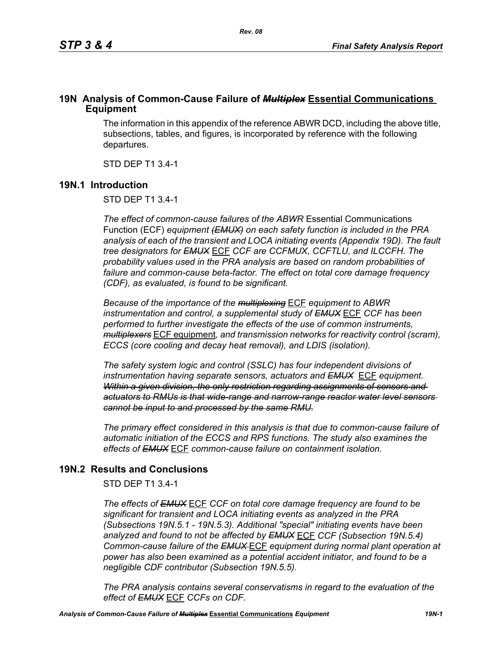### **19N Analysis of Common-Cause Failure of** *Multiplex* **Essential Communications Equipment**

The information in this appendix of the reference ABWR DCD, including the above title, subsections, tables, and figures, is incorporated by reference with the following departures.

STD DEP T1 3.4-1

### **19N.1 Introduction**

STD DEP T1 3.4-1

*The effect of common-cause failures of the ABWR* Essential Communications Function (ECF) *equipment (EMUX) on each safety function is included in the PRA analysis of each of the transient and LOCA initiating events (Appendix 19D). The fault tree designators for EMUX* ECF *CCF are CCFMUX, CCFTLU, and ILCCFH. The probability values used in the PRA analysis are based on random probabilities of failure and common-cause beta-factor. The effect on total core damage frequency (CDF), as evaluated, is found to be significant.* 

*Because of the importance of the multiplexing* ECF *equipment to ABWR instrumentation and control, a supplemental study of EMUX* ECF *CCF has been performed to further investigate the effects of the use of common instruments, multiplexers* ECF equipment*, and transmission networks for reactivity control (scram), ECCS (core cooling and decay heat removal), and LDIS (isolation).* 

*The safety system logic and control (SSLC) has four independent divisions of instrumentation having separate sensors, actuators and EMUX* ECF *equipment. Within a given division, the only restriction regarding assignments of sensors and actuators to RMUs is that wide-range and narrow-range reactor water level sensors cannot be input to and processed by the same RMU.*

*The primary effect considered in this analysis is that due to common-cause failure of automatic initiation of the ECCS and RPS functions. The study also examines the effects of EMUX* ECF *common-cause failure on containment isolation.* 

# **19N.2 Results and Conclusions**

STD DEP T1 3.4-1

*The effects of EMUX* ECF *CCF on total core damage frequency are found to be significant for transient and LOCA initiating events as analyzed in the PRA (Subsections 19N.5.1 - 19N.5.3). Additional "special" initiating events have been analyzed and found to not be affected by EMUX* ECF *CCF (Subsection 19N.5.4) Common-cause failure of the EMUX* ECF *equipment during normal plant operation at power has also been examined as a potential accident initiator, and found to be a negligible CDF contributor (Subsection 19N.5.5).* 

*The PRA analysis contains several conservatisms in regard to the evaluation of the effect of EMUX* ECF *CCFs on CDF.*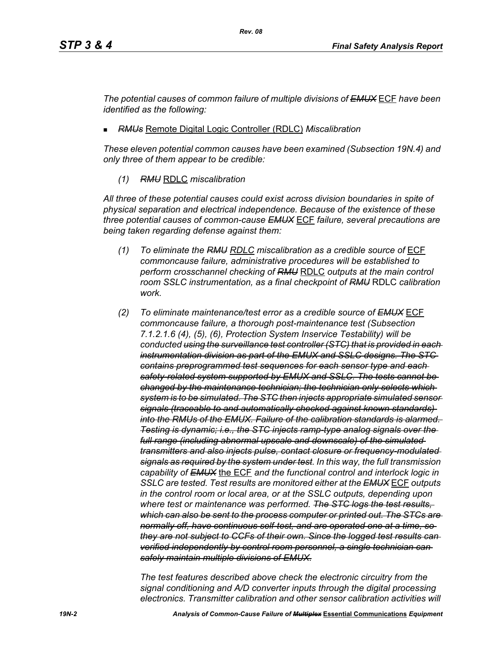*The potential causes of common failure of multiple divisions of EMUX* ECF *have been identified as the following:*

*RMUs* Remote Digital Logic Controller (RDLC) *Miscalibration*

*These eleven potential common causes have been examined (Subsection 19N.4) and only three of them appear to be credible:*

*(1) RMU* RDLC *miscalibration*

*All three of these potential causes could exist across division boundaries in spite of physical separation and electrical independence. Because of the existence of these three potential causes of common-cause EMUX* ECF *failure, several precautions are being taken regarding defense against them:*

- *(1) To eliminate the RMU RDLC miscalibration as a credible source of* ECF *commoncause failure, administrative procedures will be established to perform crosschannel checking of RMU* RDLC *outputs at the main control room SSLC instrumentation, as a final checkpoint of RMU* RDLC *calibration work.*
- *(2) To eliminate maintenance/test error as a credible source of EMUX* ECF *commoncause failure, a thorough post-maintenance test (Subsection 7.1.2.1.6 (4), (5), (6), Protection System Inservice Testability) will be conducted using the surveillance test controller (STC) that is provided in each instrumentation division as part of the EMUX and SSLC designs. The STC contains preprogrammed test sequences for each sensor type and each safety-related system supported by EMUX and SSLC. The tests cannot be changed by the maintenance technician; the technician only selects which system is to be simulated. The STC then injects appropriate simulated sensor signals (traceable to and automatically checked against known standards) into the RMUs of the EMUX. Failure of the calibration standards is alarmed. Testing is dynamic; i.e., the STC injects ramp-type analog signals over the full range (including abnormal upscale and downscale) of the simulated transmitters and also injects pulse, contact closure or frequency-modulated signals as required by the system under test. In this way, the full transmission capability of EMUX* the ECF *and the functional control and interlock logic in SSLC are tested. Test results are monitored either at the EMUX* ECF *outputs in the control room or local area, or at the SSLC outputs, depending upon where test or maintenance was performed. The STC logs the test results, which can also be sent to the process computer or printed out. The STCs are normally off, have continuous self-test, and are operated one at a time, so they are not subject to CCFs of their own. Since the logged test results can verified independently by control room personnel, a single technician can safely maintain multiple divisions of EMUX.*

*The test features described above check the electronic circuitry from the signal conditioning and A/D converter inputs through the digital processing electronics. Transmitter calibration and other sensor calibration activities will*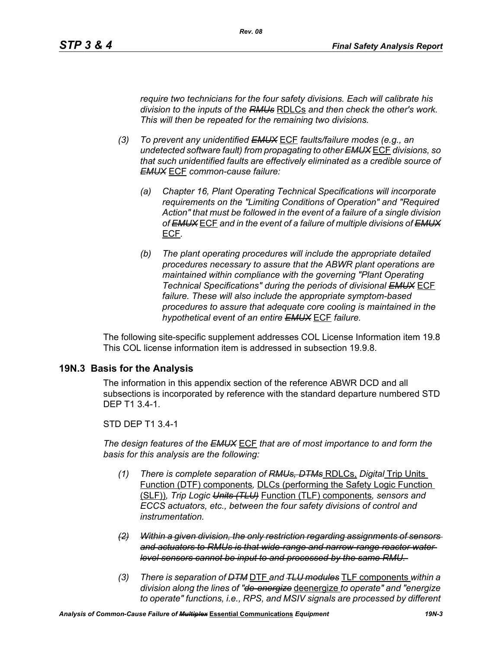*require two technicians for the four safety divisions. Each will calibrate his division to the inputs of the RMUs* RDLCs *and then check the other's work. This will then be repeated for the remaining two divisions.*

- *(3) To prevent any unidentified EMUX* ECF *faults/failure modes (e.g., an undetected software fault) from propagating to other EMUX* ECF *divisions, so that such unidentified faults are effectively eliminated as a credible source of EMUX* ECF *common-cause failure:* 
	- *(a) Chapter 16, Plant Operating Technical Specifications will incorporate requirements on the "Limiting Conditions of Operation" and "Required Action" that must be followed in the event of a failure of a single division of EMUX* ECF *and in the event of a failure of multiple divisions of EMUX* ECF*.*
	- *(b) The plant operating procedures will include the appropriate detailed procedures necessary to assure that the ABWR plant operations are maintained within compliance with the governing "Plant Operating Technical Specifications" during the periods of divisional EMUX* ECF *failure. These will also include the appropriate symptom-based procedures to assure that adequate core cooling is maintained in the hypothetical event of an entire EMUX* ECF *failure.*

The following site-specific supplement addresses COL License Information item 19.8 This COL license information item is addressed in subsection 19.9.8.

#### **19N.3 Basis for the Analysis**

The information in this appendix section of the reference ABWR DCD and all subsections is incorporated by reference with the standard departure numbered STD DEP T1 3.4-1.

#### STD DEP T1 3.4-1

*The design features of the EMUX* ECF *that are of most importance to and form the basis for this analysis are the following:*

- *(1) There is complete separation of RMUs, DTMs* RDLCs, *Digital* Trip Units Function (DTF) components*,* DLCs (performing the Safety Logic Function (SLF))*, Trip Logic Units (TLU)* Function (TLF) components*, sensors and ECCS actuators, etc., between the four safety divisions of control and instrumentation.*
- *(2) Within a given division, the only restriction regarding assignments of sensors and actuators to RMUs is that wide-range and narrow-range reactor water level sensors cannot be input to and processed by the same RMU.*
- *(3) There is separation of DTM* DTF *and TLU modules* TLF components *within a division along the lines of "de-energize* deenergize *to operate" and "energize to operate" functions, i.e., RPS, and MSIV signals are processed by different*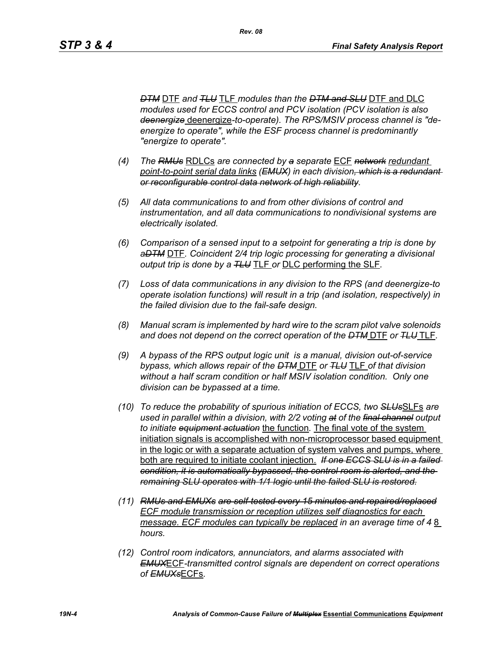*DTM* DTF *and TLU* TLF *modules than the DTM and SLU* DTF and DLC *modules used for ECCS control and PCV isolation (PCV isolation is also deenergize* deenergize*-to-operate). The RPS/MSIV process channel is "deenergize to operate", while the ESF process channel is predominantly "energize to operate".* 

- *(4) The RMUs* RDLCs *are connected by a separate* ECF *network redundant point-to-point serial data links (EMUX) in each division, which is a redundant or reconfigurable control data network of high reliability.*
- *(5) All data communications to and from other divisions of control and instrumentation, and all data communications to nondivisional systems are electrically isolated.*
- *(6) Comparison of a sensed input to a setpoint for generating a trip is done by aDTM* DTF*. Coincident 2/4 trip logic processing for generating a divisional output trip is done by a TLU* TLF *or* DLC performing the SLF*.*
- *(7) Loss of data communications in any division to the RPS (and deenergize-to operate isolation functions) will result in a trip (and isolation, respectively) in the failed division due to the fail-safe design.*
- *(8) Manual scram is implemented by hard wire to the scram pilot valve solenoids and does not depend on the correct operation of the DTM* DTF *or TLU* TLF*.*
- *(9) A bypass of the RPS output logic unit is a manual, division out-of-service bypass, which allows repair of the DTM* DTF *or TLU* TLF *of that division without a half scram condition or half MSIV isolation condition. Only one division can be bypassed at a time.*
- *(10) To reduce the probability of spurious initiation of ECCS, two SLUs*SLFs *are used in parallel within a division, with 2/2 voting at of the final channel output to initiate equipment actuation* the function*.* The final vote of the system initiation signals is accomplished with non-microprocessor based equipment in the logic or with a separate actuation of system valves and pumps, where both are required to initiate coolant injection. *If one ECCS SLU is in a failed condition, it is automatically bypassed, the control room is alerted, and the remaining SLU operates with 1/1 logic until the failed SLU is restored.*
- *(11) RMUs and EMUXs are self-tested every 15 minutes and repaired/replaced ECF module transmission or reception utilizes self diagnostics for each message. ECF modules can typically be replaced in an average time of 48 hours.*
- *(12) Control room indicators, annunciators, and alarms associated with EMUX*ECF*-transmitted control signals are dependent on correct operations of EMUXs*ECFs*.*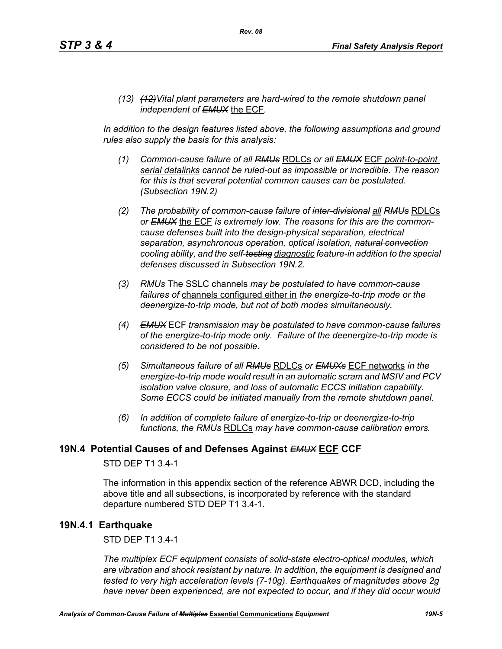*(13) (12)Vital plant parameters are hard-wired to the remote shutdown panel independent of EMUX* the ECF*.* 

In addition to the design features listed above, the following assumptions and ground *rules also supply the basis for this analysis:*

- *(1) Common-cause failure of all RMUs* RDLCs *or all EMUX* ECF *point-to-point serial datalinks cannot be ruled-out as impossible or incredible. The reason for this is that several potential common causes can be postulated. (Subsection 19N.2)*
- *(2) The probability of common-cause failure of inter-divisional all RMUs* RDLCs *or EMUX* the ECF *is extremely low. The reasons for this are the commoncause defenses built into the design-physical separation, electrical separation, asynchronous operation, optical isolation, natural convection cooling ability, and the self-testing diagnostic feature-in addition to the special defenses discussed in Subsection 19N.2.*
- *(3) RMUs* The SSLC channels *may be postulated to have common-cause failures of* channels configured either in *the energize-to-trip mode or the deenergize-to-trip mode, but not of both modes simultaneously.*
- *(4) EMUX* ECF *transmission may be postulated to have common-cause failures of the energize-to-trip mode only. Failure of the deenergize-to-trip mode is considered to be not possible.*
- *(5) Simultaneous failure of all RMUs* RDLCs *or EMUXs* ECF networks *in the energize-to-trip mode would result in an automatic scram and MSIV and PCV isolation valve closure, and loss of automatic ECCS initiation capability. Some ECCS could be initiated manually from the remote shutdown panel.*
- *(6) In addition of complete failure of energize-to-trip or deenergize-to-trip functions, the RMUs* RDLCs *may have common-cause calibration errors.*

#### **19N.4 Potential Causes of and Defenses Against** *EMUX* **ECF CCF**

#### STD DEP T1 3.4-1

The information in this appendix section of the reference ABWR DCD, including the above title and all subsections, is incorporated by reference with the standard departure numbered STD DEP T1 3.4-1.

#### **19N.4.1 Earthquake**

STD DEP T1 3.4-1

*The multiplex ECF equipment consists of solid-state electro-optical modules, which are vibration and shock resistant by nature. In addition, the equipment is designed and tested to very high acceleration levels (7-10g). Earthquakes of magnitudes above 2g have never been experienced, are not expected to occur, and if they did occur would*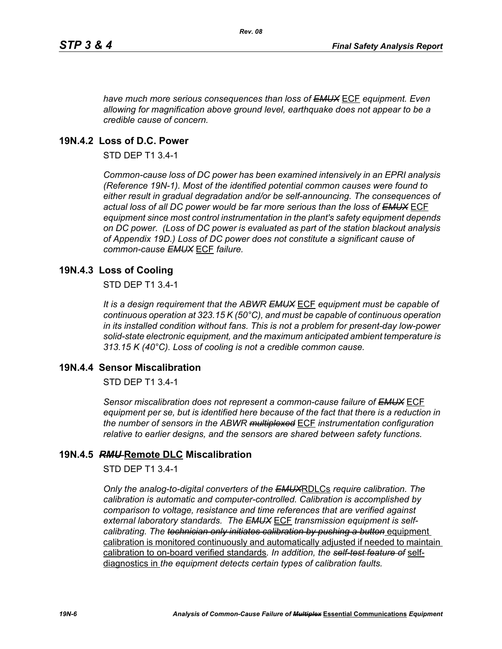*have much more serious consequences than loss of EMUX* ECF *equipment. Even allowing for magnification above ground level, earthquake does not appear to be a credible cause of concern.*

### **19N.4.2 Loss of D.C. Power**

STD DEP T1 3.4-1

*Common-cause loss of DC power has been examined intensively in an EPRI analysis (Reference 19N-1). Most of the identified potential common causes were found to either result in gradual degradation and/or be self-announcing. The consequences of actual loss of all DC power would be far more serious than the loss of EMUX* ECF *equipment since most control instrumentation in the plant's safety equipment depends on DC power. (Loss of DC power is evaluated as part of the station blackout analysis of Appendix 19D.) Loss of DC power does not constitute a significant cause of common-cause EMUX* ECF *failure.* 

### **19N.4.3 Loss of Cooling**

STD DEP T1 3.4-1

*It is a design requirement that the ABWR EMUX* ECF *equipment must be capable of continuous operation at 323.15 K (50°C), and must be capable of continuous operation in its installed condition without fans. This is not a problem for present-day low-power solid-state electronic equipment, and the maximum anticipated ambient temperature is 313.15 K (40°C). Loss of cooling is not a credible common cause.* 

#### **19N.4.4 Sensor Miscalibration**

STD DEP T1 3.4-1

*Sensor miscalibration does not represent a common-cause failure of EMUX* ECF *equipment per se, but is identified here because of the fact that there is a reduction in the number of sensors in the ABWR multiplexed* ECF *instrumentation configuration relative to earlier designs, and the sensors are shared between safety functions.* 

#### **19N.4.5** *RMU* **Remote DLC Miscalibration**

STD DEP T1 3.4-1

*Only the analog-to-digital converters of the EMUX*RDLCs *require calibration. The calibration is automatic and computer-controlled. Calibration is accomplished by comparison to voltage, resistance and time references that are verified against external laboratory standards. The EMUX* ECF *transmission equipment is selfcalibrating. The technician only initiates calibration by pushing a button equipment* calibration is monitored continuously and automatically adjusted if needed to maintain calibration to on-board verified standards*. In addition, the self-test feature of* selfdiagnostics in *the equipment detects certain types of calibration faults.*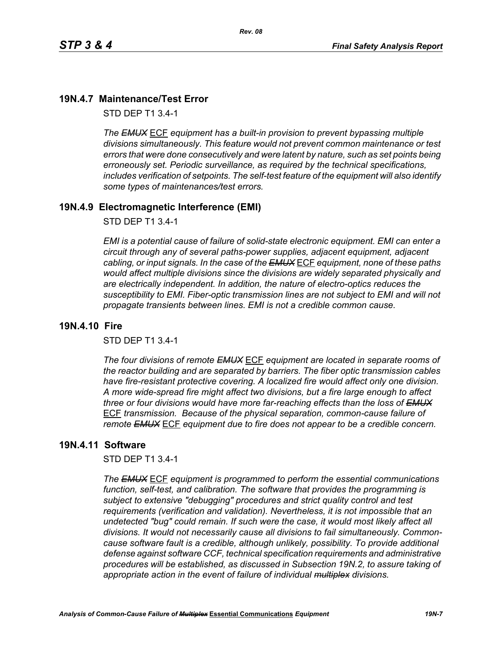# **19N.4.7 Maintenance/Test Error**

STD DEP T1 3.4-1

*The EMUX* ECF *equipment has a built-in provision to prevent bypassing multiple divisions simultaneously. This feature would not prevent common maintenance or test errors that were done consecutively and were latent by nature, such as set points being erroneously set. Periodic surveillance, as required by the technical specifications, includes verification of setpoints. The self-test feature of the equipment will also identify some types of maintenances/test errors.* 

*Rev. 08*

### **19N.4.9 Electromagnetic Interference (EMI)**

STD DEP T1 3.4-1

*EMI is a potential cause of failure of solid-state electronic equipment. EMI can enter a circuit through any of several paths-power supplies, adjacent equipment, adjacent cabling, or input signals. In the case of the EMUX* ECF *equipment, none of these paths would affect multiple divisions since the divisions are widely separated physically and are electrically independent. In addition, the nature of electro-optics reduces the susceptibility to EMI. Fiber-optic transmission lines are not subject to EMI and will not propagate transients between lines. EMI is not a credible common cause.* 

#### **19N.4.10 Fire**

STD DEP T1 3.4-1

*The four divisions of remote EMUX* ECF *equipment are located in separate rooms of the reactor building and are separated by barriers. The fiber optic transmission cables have fire-resistant protective covering. A localized fire would affect only one division. A more wide-spread fire might affect two divisions, but a fire large enough to affect three or four divisions would have more far-reaching effects than the loss of EMUX* ECF *transmission. Because of the physical separation, common-cause failure of remote EMUX* ECF *equipment due to fire does not appear to be a credible concern.* 

#### **19N.4.11 Software**

STD DEP T1 3.4-1

*The EMUX* ECF *equipment is programmed to perform the essential communications function, self-test, and calibration. The software that provides the programming is subject to extensive "debugging" procedures and strict quality control and test requirements (verification and validation). Nevertheless, it is not impossible that an undetected "bug" could remain. If such were the case, it would most likely affect all divisions. It would not necessarily cause all divisions to fail simultaneously. Commoncause software fault is a credible, although unlikely, possibility. To provide additional defense against software CCF, technical specification requirements and administrative procedures will be established, as discussed in Subsection 19N.2, to assure taking of appropriate action in the event of failure of individual multiplex divisions.*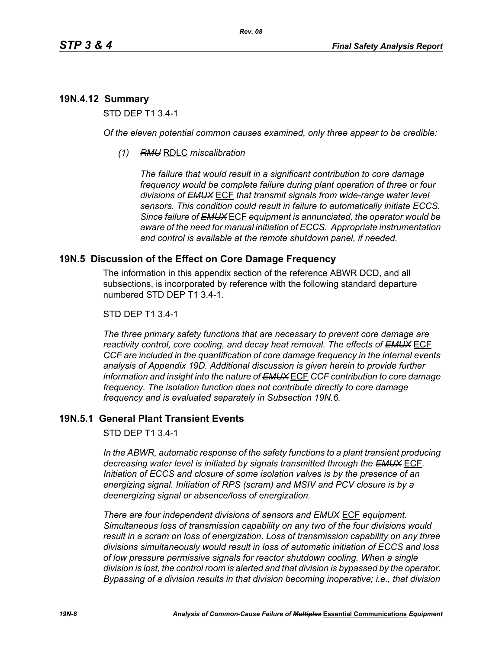# **19N.4.12 Summary**

STD DEP T1 3.4-1

*Of the eleven potential common causes examined, only three appear to be credible:* 

*(1) RMU* RDLC *miscalibration*

*The failure that would result in a significant contribution to core damage frequency would be complete failure during plant operation of three or four divisions of EMUX* ECF *that transmit signals from wide-range water level sensors. This condition could result in failure to automatically initiate ECCS. Since failure of EMUX* ECF *equipment is annunciated, the operator would be aware of the need for manual initiation of ECCS. Appropriate instrumentation and control is available at the remote shutdown panel, if needed.* 

# **19N.5 Discussion of the Effect on Core Damage Frequency**

The information in this appendix section of the reference ABWR DCD, and all subsections, is incorporated by reference with the following standard departure numbered STD DEP T1 3.4-1.

#### STD DEP T1 3.4-1

*The three primary safety functions that are necessary to prevent core damage are reactivity control, core cooling, and decay heat removal. The effects of EMUX* ECF *CCF are included in the quantification of core damage frequency in the internal events analysis of Appendix 19D. Additional discussion is given herein to provide further information and insight into the nature of EMUX* ECF *CCF contribution to core damage frequency. The isolation function does not contribute directly to core damage frequency and is evaluated separately in Subsection 19N.6.* 

# **19N.5.1 General Plant Transient Events**

STD DEP T1 3.4-1

*In the ABWR, automatic response of the safety functions to a plant transient producing decreasing water level is initiated by signals transmitted through the EMUX* ECF*. Initiation of ECCS and closure of some isolation valves is by the presence of an energizing signal. Initiation of RPS (scram) and MSIV and PCV closure is by a deenergizing signal or absence/loss of energization.* 

*There are four independent divisions of sensors and EMUX* ECF *equipment. Simultaneous loss of transmission capability on any two of the four divisions would result in a scram on loss of energization. Loss of transmission capability on any three divisions simultaneously would result in loss of automatic initiation of ECCS and loss of low pressure permissive signals for reactor shutdown cooling. When a single division is lost, the control room is alerted and that division is bypassed by the operator. Bypassing of a division results in that division becoming inoperative; i.e., that division*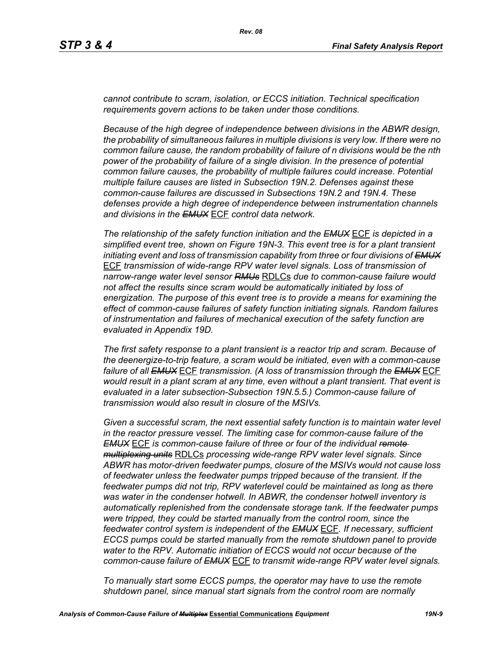*cannot contribute to scram, isolation, or ECCS initiation. Technical specification requirements govern actions to be taken under those conditions.* 

*Because of the high degree of independence between divisions in the ABWR design, the probability of simultaneous failures in multiple divisions is very low. If there were no common failure cause, the random probability of failure of n divisions would be the nth power of the probability of failure of a single division. In the presence of potential common failure causes, the probability of multiple failures could increase. Potential multiple failure causes are listed in Subsection 19N.2. Defenses against these common-cause failures are discussed in Subsections 19N.2 and 19N.4. These defenses provide a high degree of independence between instrumentation channels and divisions in the EMUX* ECF *control data network.* 

*The relationship of the safety function initiation and the EMUX* ECF *is depicted in a simplified event tree, shown on Figure 19N-3. This event tree is for a plant transient initiating event and loss of transmission capability from three or four divisions of EMUX* ECF *transmission of wide-range RPV water level signals. Loss of transmission of narrow-range water level sensor RMUs* RDLCs *due to common-cause failure would not affect the results since scram would be automatically initiated by loss of energization. The purpose of this event tree is to provide a means for examining the effect of common-cause failures of safety function initiating signals. Random failures of instrumentation and failures of mechanical execution of the safety function are evaluated in Appendix 19D.*

*The first safety response to a plant transient is a reactor trip and scram. Because of the deenergize-to-trip feature, a scram would be initiated, even with a common-cause failure of all EMUX* ECF *transmission. (A loss of transmission through the EMUX* ECF *would result in a plant scram at any time, even without a plant transient. That event is evaluated in a later subsection-Subsection 19N.5.5.) Common-cause failure of transmission would also result in closure of the MSIVs.* 

*Given a successful scram, the next essential safety function is to maintain water level in the reactor pressure vessel. The limiting case for common-cause failure of the EMUX* ECF *is common-cause failure of three or four of the individual remote multiplexing units* RDLCs *processing wide-range RPV water level signals. Since ABWR has motor-driven feedwater pumps, closure of the MSIVs would not cause loss of feedwater unless the feedwater pumps tripped because of the transient. If the feedwater pumps did not trip, RPV waterlevel could be maintained as long as there was water in the condenser hotwell. In ABWR, the condenser hotwell inventory is automatically replenished from the condensate storage tank. If the feedwater pumps were tripped, they could be started manually from the control room, since the feedwater control system is independent of the EMUX* ECF*. If necessary, sufficient ECCS pumps could be started manually from the remote shutdown panel to provide water to the RPV. Automatic initiation of ECCS would not occur because of the common-cause failure of EMUX* ECF *to transmit wide-range RPV water level signals.* 

*To manually start some ECCS pumps, the operator may have to use the remote shutdown panel, since manual start signals from the control room are normally*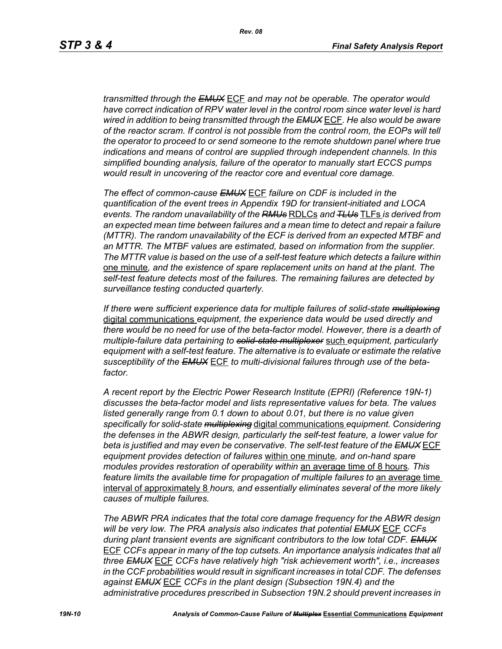*transmitted through the EMUX* ECF *and may not be operable. The operator would have correct indication of RPV water level in the control room since water level is hard wired in addition to being transmitted through the EMUX* ECF*. He also would be aware of the reactor scram. If control is not possible from the control room, the EOPs will tell the operator to proceed to or send someone to the remote shutdown panel where true indications and means of control are supplied through independent channels. In this simplified bounding analysis, failure of the operator to manually start ECCS pumps would result in uncovering of the reactor core and eventual core damage.*

*The effect of common-cause EMUX* ECF *failure on CDF is included in the quantification of the event trees in Appendix 19D for transient-initiated and LOCA events. The random unavailability of the RMUs* RDLCs *and TLUs* TLFs *is derived from an expected mean time between failures and a mean time to detect and repair a failure (MTTR). The random unavailability of the ECF is derived from an expected MTBF and an MTTR. The MTBF values are estimated, based on information from the supplier. The MTTR value is based on the use of a self-test feature which detects a failure within*  one minute*, and the existence of spare replacement units on hand at the plant. The self-test feature detects most of the failures. The remaining failures are detected by surveillance testing conducted quarterly.* 

*If there were sufficient experience data for multiple failures of solid-state multiplexing* digital communications *equipment, the experience data would be used directly and there would be no need for use of the beta-factor model. However, there is a dearth of multiple-failure data pertaining to solid-state multiplexer* such *equipment, particularly equipment with a self-test feature. The alternative is to evaluate or estimate the relative susceptibility of the EMUX* ECF *to multi-divisional failures through use of the betafactor.* 

*A recent report by the Electric Power Research Institute (EPRI) (Reference 19N-1) discusses the beta-factor model and lists representative values for beta. The values*  listed generally range from 0.1 down to about 0.01, but there is no value given *specifically for solid-state multiplexing* digital communications *equipment. Considering the defenses in the ABWR design, particularly the self-test feature, a lower value for beta is justified and may even be conservative. The self-test feature of the EMUX* ECF *equipment provides detection of failures* within one minute*, and on-hand spare modules provides restoration of operability within* an average time of 8 hours*. This feature limits the available time for propagation of multiple failures to an average time* interval of approximately 8 *hours, and essentially eliminates several of the more likely causes of multiple failures.* 

*The ABWR PRA indicates that the total core damage frequency for the ABWR design will be very low. The PRA analysis also indicates that potential EMUX* ECF *CCFs during plant transient events are significant contributors to the low total CDF. EMUX* ECF *CCFs appear in many of the top cutsets. An importance analysis indicates that all three EMUX* ECF *CCFs have relatively high "risk achievement worth", i.e., increases in the CCF probabilities would result in significant increases in total CDF. The defenses against EMUX* ECF *CCFs in the plant design (Subsection 19N.4) and the administrative procedures prescribed in Subsection 19N.2 should prevent increases in*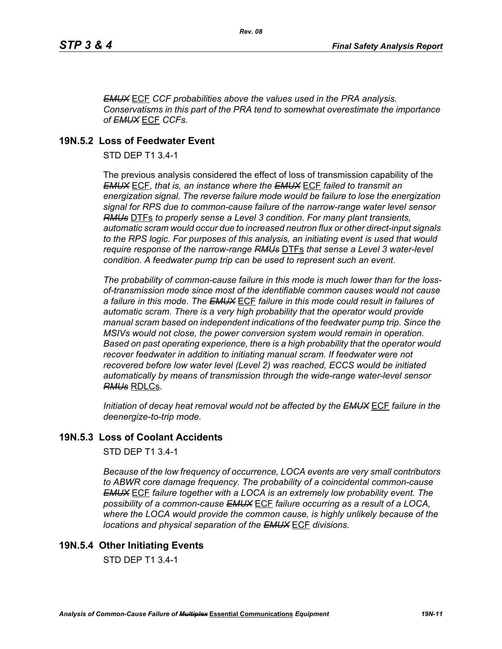*EMUX* ECF *CCF probabilities above the values used in the PRA analysis. Conservatisms in this part of the PRA tend to somewhat overestimate the importance of EMUX* ECF *CCFs.* 

# **19N.5.2 Loss of Feedwater Event**

STD DEP T1 3.4-1

The previous analysis considered the effect of loss of transmission capability of the *EMUX* ECF*, that is, an instance where the EMUX* ECF *failed to transmit an energization signal. The reverse failure mode would be failure to lose the energization signal for RPS due to common-cause failure of the narrow-range water level sensor RMUs* DTFs *to properly sense a Level 3 condition. For many plant transients, automatic scram would occur due to increased neutron flux or other direct-input signals to the RPS logic. For purposes of this analysis, an initiating event is used that would require response of the narrow-range RMUs* DTFs *that sense a Level 3 water-level condition. A feedwater pump trip can be used to represent such an event.*

*The probability of common-cause failure in this mode is much lower than for the lossof-transmission mode since most of the identifiable common causes would not cause a failure in this mode. The EMUX* ECF *failure in this mode could result in failures of automatic scram. There is a very high probability that the operator would provide manual scram based on independent indications of the feedwater pump trip. Since the MSIVs would not close, the power conversion system would remain in operation. Based on past operating experience, there is a high probability that the operator would recover feedwater in addition to initiating manual scram. If feedwater were not recovered before low water level (Level 2) was reached, ECCS would be initiated automatically by means of transmission through the wide-range water-level sensor RMUs* RDLCs.

*Initiation of decay heat removal would not be affected by the EMUX* ECF *failure in the deenergize-to-trip mode.*

# **19N.5.3 Loss of Coolant Accidents**

STD DEP T1 3.4-1

*Because of the low frequency of occurrence, LOCA events are very small contributors to ABWR core damage frequency. The probability of a coincidental common-cause EMUX* ECF *failure together with a LOCA is an extremely low probability event. The possibility of a common-cause EMUX* ECF *failure occurring as a result of a LOCA, where the LOCA would provide the common cause, is highly unlikely because of the locations and physical separation of the EMUX* ECF *divisions.* 

# **19N.5.4 Other Initiating Events**

STD DEP T1 3.4-1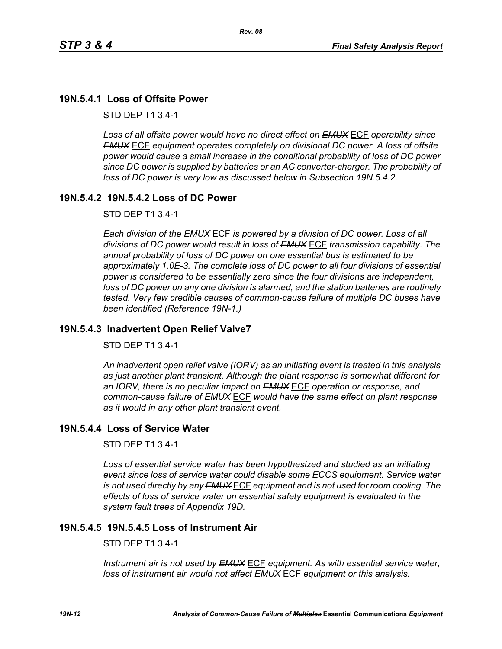# **19N.5.4.1 Loss of Offsite Power**

STD DEP T1 3.4-1

*Loss of all offsite power would have no direct effect on EMUX* ECF *operability since EMUX* ECF *equipment operates completely on divisional DC power. A loss of offsite power would cause a small increase in the conditional probability of loss of DC power since DC power is supplied by batteries or an AC converter-charger. The probability of loss of DC power is very low as discussed below in Subsection 19N.5.4.2.* 

### **19N.5.4.2 19N.5.4.2 Loss of DC Power**

STD DEP T1 3.4-1

*Each division of the EMUX* ECF *is powered by a division of DC power. Loss of all divisions of DC power would result in loss of EMUX* ECF *transmission capability. The annual probability of loss of DC power on one essential bus is estimated to be approximately 1.0E-3. The complete loss of DC power to all four divisions of essential power is considered to be essentially zero since the four divisions are independent, loss of DC power on any one division is alarmed, and the station batteries are routinely tested. Very few credible causes of common-cause failure of multiple DC buses have been identified (Reference 19N-1.)*

### **19N.5.4.3 Inadvertent Open Relief Valve7**

STD DEP T1 3.4-1

*An inadvertent open relief valve (IORV) as an initiating event is treated in this analysis as just another plant transient. Although the plant response is somewhat different for an IORV, there is no peculiar impact on EMUX* ECF *operation or response, and common-cause failure of EMUX* ECF *would have the same effect on plant response as it would in any other plant transient event.*

#### **19N.5.4.4 Loss of Service Water**

STD DEP T1 3.4-1

*Loss of essential service water has been hypothesized and studied as an initiating event since loss of service water could disable some ECCS equipment. Service water is not used directly by any EMUX* ECF *equipment and is not used for room cooling. The effects of loss of service water on essential safety equipment is evaluated in the system fault trees of Appendix 19D.* 

# **19N.5.4.5 19N.5.4.5 Loss of Instrument Air**

STD DEP T1 3.4-1

*Instrument air is not used by EMUX* ECF *equipment. As with essential service water, loss of instrument air would not affect EMUX* ECF *equipment or this analysis.*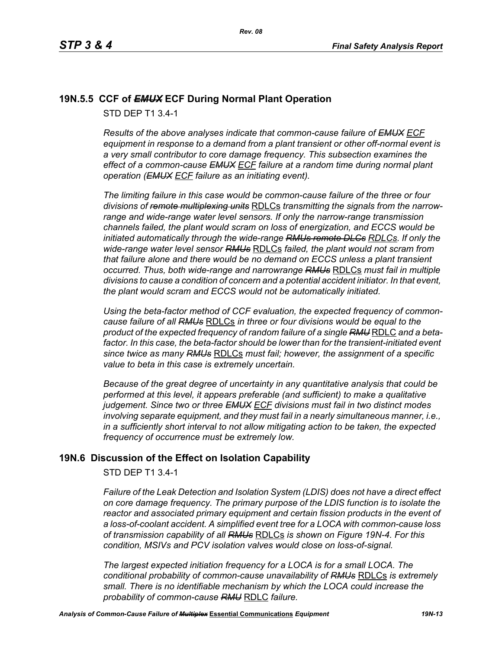# **19N.5.5 CCF of** *EMUX* **ECF During Normal Plant Operation**

STD DEP T1 3.4-1

*Results of the above analyses indicate that common-cause failure of EMUX ECF equipment in response to a demand from a plant transient or other off-normal event is a very small contributor to core damage frequency. This subsection examines the effect of a common-cause EMUX ECF failure at a random time during normal plant operation (EMUX ECF failure as an initiating event).* 

*The limiting failure in this case would be common-cause failure of the three or four divisions of remote multiplexing units* RDLCs *transmitting the signals from the narrowrange and wide-range water level sensors. If only the narrow-range transmission channels failed, the plant would scram on loss of energization, and ECCS would be initiated automatically through the wide-range RMUs remote DLCs RDLCs. If only the wide-range water level sensor RMUs* RDLCs *failed, the plant would not scram from that failure alone and there would be no demand on ECCS unless a plant transient occurred. Thus, both wide-range and narrowrange RMUs* RDLCs *must fail in multiple divisions to cause a condition of concern and a potential accident initiator. In that event, the plant would scram and ECCS would not be automatically initiated.* 

*Using the beta-factor method of CCF evaluation, the expected frequency of commoncause failure of all RMUs* RDLCs *in three or four divisions would be equal to the product of the expected frequency of random failure of a single RMU* RDLC *and a beta*factor. In this case, the beta-factor should be lower than for the transient-initiated event *since twice as many RMUs* RDLCs *must fail; however, the assignment of a specific value to beta in this case is extremely uncertain.* 

*Because of the great degree of uncertainty in any quantitative analysis that could be performed at this level, it appears preferable (and sufficient) to make a qualitative judgement. Since two or three EMUX ECF divisions must fail in two distinct modes involving separate equipment, and they must fail in a nearly simultaneous manner, i.e., in a sufficiently short interval to not allow mitigating action to be taken, the expected frequency of occurrence must be extremely low.*

# **19N.6 Discussion of the Effect on Isolation Capability**

STD DEP T1 3.4-1

*Failure of the Leak Detection and Isolation System (LDIS) does not have a direct effect on core damage frequency. The primary purpose of the LDIS function is to isolate the reactor and associated primary equipment and certain fission products in the event of a loss-of-coolant accident. A simplified event tree for a LOCA with common-cause loss of transmission capability of all RMUs* RDLCs *is shown on Figure 19N-4. For this condition, MSIVs and PCV isolation valves would close on loss-of-signal.* 

*The largest expected initiation frequency for a LOCA is for a small LOCA. The conditional probability of common-cause unavailability of RMUs* RDLCs *is extremely small. There is no identifiable mechanism by which the LOCA could increase the probability of common-cause RMU* RDLC *failure.*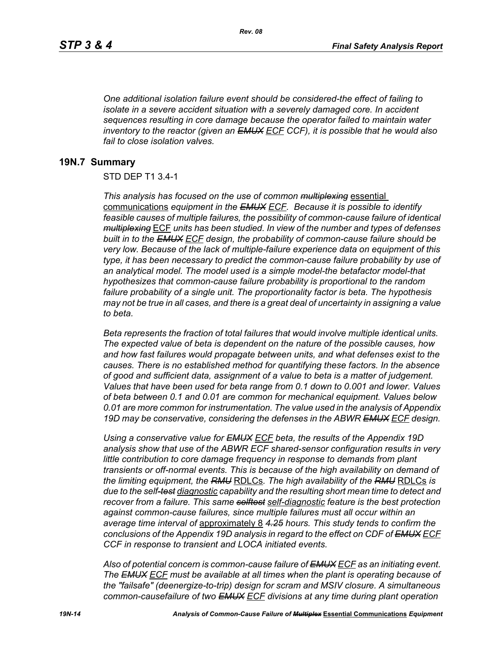*One additional isolation failure event should be considered-the effect of failing to isolate in a severe accident situation with a severely damaged core. In accident sequences resulting in core damage because the operator failed to maintain water inventory to the reactor (given an EMUX ECF CCF), it is possible that he would also fail to close isolation valves.*

#### **19N.7 Summary**

#### STD DEP T1 3.4-1

*This analysis has focused on the use of common multiplexing* essential communications *equipment in the EMUX ECF. Because it is possible to identify feasible causes of multiple failures, the possibility of common-cause failure of identical multiplexing* ECF *units has been studied. In view of the number and types of defenses built in to the EMUX ECF design, the probability of common-cause failure should be very low. Because of the lack of multiple-failure experience data on equipment of this type, it has been necessary to predict the common-cause failure probability by use of an analytical model. The model used is a simple model-the betafactor model-that hypothesizes that common-cause failure probability is proportional to the random failure probability of a single unit. The proportionality factor is beta. The hypothesis may not be true in all cases, and there is a great deal of uncertainty in assigning a value to beta.* 

*Beta represents the fraction of total failures that would involve multiple identical units. The expected value of beta is dependent on the nature of the possible causes, how and how fast failures would propagate between units, and what defenses exist to the causes. There is no established method for quantifying these factors. In the absence of good and sufficient data, assignment of a value to beta is a matter of judgement. Values that have been used for beta range from 0.1 down to 0.001 and lower. Values of beta between 0.1 and 0.01 are common for mechanical equipment. Values below 0.01 are more common for instrumentation. The value used in the analysis of Appendix 19D may be conservative, considering the defenses in the ABWR EMUX ECF design.* 

*Using a conservative value for EMUX ECF beta, the results of the Appendix 19D analysis show that use of the ABWR ECF shared-sensor configuration results in very little contribution to core damage frequency in response to demands from plant transients or off-normal events. This is because of the high availability on demand of the limiting equipment, the RMU* RDLCs*. The high availability of the RMU* RDLCs *is due to the self-test diagnostic capability and the resulting short mean time to detect and recover from a failure. This same selftest self-diagnostic feature is the best protection against common-cause failures, since multiple failures must all occur within an average time interval of* approximately 8 *4.25 hours. This study tends to confirm the conclusions of the Appendix 19D analysis in regard to the effect on CDF of EMUX ECF CCF in response to transient and LOCA initiated events.*

*Also of potential concern is common-cause failure of EMUX ECF as an initiating event. The EMUX ECF must be available at all times when the plant is operating because of the "failsafe" (deenergize-to-trip) design for scram and MSIV closure. A simultaneous common-causefailure of two EMUX ECF divisions at any time during plant operation*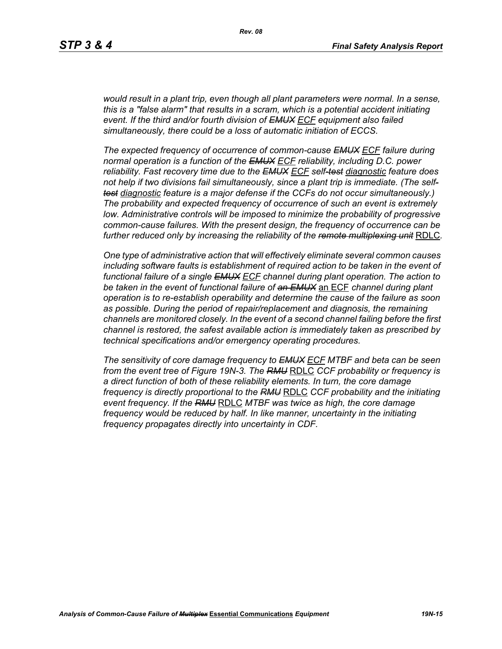*would result in a plant trip, even though all plant parameters were normal. In a sense, this is a "false alarm" that results in a scram, which is a potential accident initiating event. If the third and/or fourth division of EMUX ECF equipment also failed simultaneously, there could be a loss of automatic initiation of ECCS.* 

*The expected frequency of occurrence of common-cause EMUX ECF failure during normal operation is a function of the EMUX ECF reliability, including D.C. power reliability. Fast recovery time due to the EMUX ECF self-test diagnostic feature does not help if two divisions fail simultaneously, since a plant trip is immediate. (The selftest diagnostic feature is a major defense if the CCFs do not occur simultaneously.) The probability and expected frequency of occurrence of such an event is extremely low. Administrative controls will be imposed to minimize the probability of progressive common-cause failures. With the present design, the frequency of occurrence can be further reduced only by increasing the reliability of the remote multiplexing unit* RDLC*.*

*One type of administrative action that will effectively eliminate several common causes including software faults is establishment of required action to be taken in the event of functional failure of a single EMUX ECF channel during plant operation. The action to be taken in the event of functional failure of an EMUX* an ECF *channel during plant operation is to re-establish operability and determine the cause of the failure as soon as possible. During the period of repair/replacement and diagnosis, the remaining channels are monitored closely. In the event of a second channel failing before the first channel is restored, the safest available action is immediately taken as prescribed by technical specifications and/or emergency operating procedures.* 

*The sensitivity of core damage frequency to EMUX ECF MTBF and beta can be seen from the event tree of Figure 19N-3. The RMU* RDLC *CCF probability or frequency is a direct function of both of these reliability elements. In turn, the core damage frequency is directly proportional to the RMU* RDLC *CCF probability and the initiating event frequency. If the RMU* RDLC *MTBF was twice as high, the core damage frequency would be reduced by half. In like manner, uncertainty in the initiating frequency propagates directly into uncertainty in CDF.*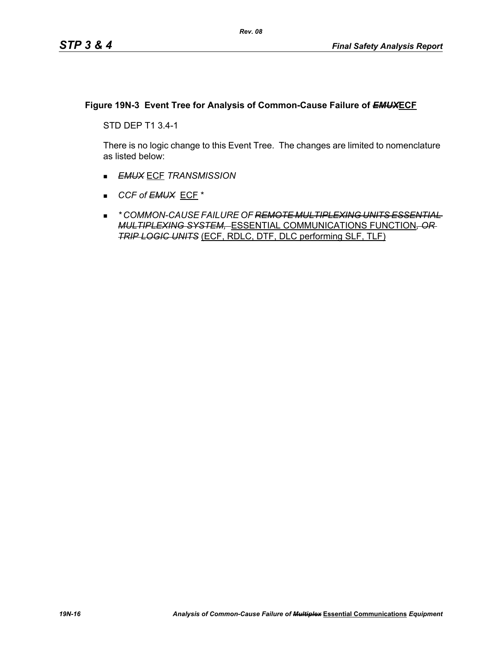### **Figure 19N-3 Event Tree for Analysis of Common-Cause Failure of** *EMUX***ECF**

STD DEP T1 3.4-1

There is no logic change to this Event Tree. The changes are limited to nomenclature as listed below:

- *EMUX* ECF *TRANSMISSION*
- *CCF of EMUX* ECF \*
- *\* COMMON-CAUSE FAILURE OF REMOTE MULTIPLEXING UNITS ESSENTIAL MULTIPLEXING SYSTEM,* ESSENTIAL COMMUNICATIONS FUNCTION*, OR TRIP LOGIC UNITS* (ECF, RDLC, DTF, DLC performing SLF, TLF)